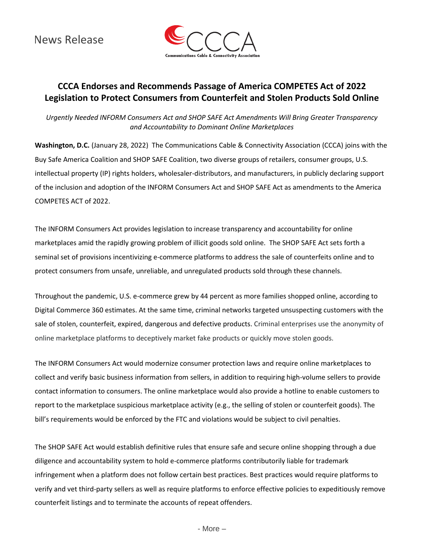News Release



# **CCCA Endorses and Recommends Passage of America COMPETES Act of 2022 Legislation to Protect Consumers from Counterfeit and Stolen Products Sold Online**

*Urgently Needed INFORM Consumers Act and SHOP SAFE Act Amendments Will Bring Greater Transparency and Accountability to Dominant Online Marketplaces*

**Washington, D.C.** (January 28, 2022) The Communications Cable & Connectivity Association (CCCA) joins with the Buy Safe America Coalition and SHOP SAFE Coalition, two diverse groups of retailers, consumer groups, U.S. intellectual property (IP) rights holders, wholesaler-distributors, and manufacturers, in publicly declaring support of the inclusion and adoption of the INFORM Consumers Act and SHOP SAFE Act as amendments to the America COMPETES ACT of 2022.

The INFORM Consumers Act provides legislation to increase transparency and accountability for online marketplaces amid the rapidly growing problem of illicit goods sold online. The SHOP SAFE Act sets forth a seminal set of provisions incentivizing e-commerce platforms to address the sale of counterfeits online and to protect consumers from unsafe, unreliable, and unregulated products sold through these channels.

Throughout the pandemic, U.S. e-commerce grew by 44 percent as more families shopped online, according to Digital Commerce 360 estimates. At the same time, criminal networks targeted unsuspecting customers with the sale of stolen, counterfeit, expired, dangerous and defective products. Criminal enterprises use the anonymity of online marketplace platforms to deceptively market fake products or quickly move stolen goods.

The INFORM Consumers Act would modernize consumer protection laws and require online marketplaces to collect and verify basic business information from sellers, in addition to requiring high-volume sellers to provide contact information to consumers. The online marketplace would also provide a hotline to enable customers to report to the marketplace suspicious marketplace activity (e.g., the selling of stolen or counterfeit goods). The bill's requirements would be enforced by the FTC and violations would be subject to civil penalties.

The SHOP SAFE Act would establish definitive rules that ensure safe and secure online shopping through a due diligence and accountability system to hold e-commerce platforms contributorily liable for trademark infringement when a platform does not follow certain best practices. Best practices would require platforms to verify and vet third-party sellers as well as require platforms to enforce effective policies to expeditiously remove counterfeit listings and to terminate the accounts of repeat offenders.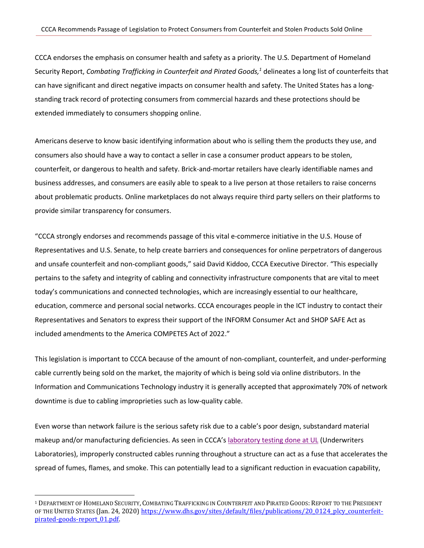CCCA endorses the emphasis on consumer health and safety as a priority. The U.S. Department of Homeland Security Report, *Combating Trafficking in Counterfeit and Pirated Goods, <sup>1</sup>* delineates a long list of counterfeits that can have significant and direct negative impacts on consumer health and safety. The United States has a longstanding track record of protecting consumers from commercial hazards and these protections should be extended immediately to consumers shopping online.

Americans deserve to know basic identifying information about who is selling them the products they use, and consumers also should have a way to contact a seller in case a consumer product appears to be stolen, counterfeit, or dangerous to health and safety. Brick-and-mortar retailers have clearly identifiable names and business addresses, and consumers are easily able to speak to a live person at those retailers to raise concerns about problematic products. Online marketplaces do not always require third party sellers on their platforms to provide similar transparency for consumers.

"CCCA strongly endorses and recommends passage of this vital e-commerce initiative in the U.S. House of Representatives and U.S. Senate, to help create barriers and consequences for online perpetrators of dangerous and unsafe counterfeit and non-compliant goods," said David Kiddoo, CCCA Executive Director. "This especially pertains to the safety and integrity of cabling and connectivity infrastructure components that are vital to meet today's communications and connected technologies, which are increasingly essential to our healthcare, education, commerce and personal social networks. CCCA encourages people in the ICT industry to contact their Representatives and Senators to express their support of the INFORM Consumer Act and SHOP SAFE Act as included amendments to the America COMPETES Act of 2022."

This legislation is important to CCCA because of the amount of non-compliant, counterfeit, and under-performing cable currently being sold on the market, the majority of which is being sold via online distributors. In the Information and Communications Technology industry it is generally accepted that approximately 70% of network downtime is due to cabling improprieties such as low-quality cable.

Even worse than network failure is the serious safety risk due to a cable's poor design, substandard material makeup and/or manufacturing deficiencies. As seen in CCCA's [laboratory testing done at UL](https://www.youtube.com/watch?v=9sx0PhGlofE) (Underwriters Laboratories), improperly constructed cables running throughout a structure can act as a fuse that accelerates the spread of fumes, flames, and smoke. This can potentially lead to a significant reduction in evacuation capability,

 $\overline{\phantom{a}}$ 

<sup>1</sup> DEPARTMENT OF HOMELAND SECURITY, COMBATING TRAFFICKING IN COUNTERFEIT AND PIRATED GOODS: REPORT TO THE PRESIDENT OF THE UNITED STATES (Jan. 24, 2020) [https://www.dhs.gov/sites/default/files/publications/20\\_0124\\_plcy\\_counterfeit](https://www.dhs.gov/sites/default/files/publications/20_0124_plcy_counterfeit-pirated-goods-report_01.pdf)[pirated-goods-report\\_01.pdf.](https://www.dhs.gov/sites/default/files/publications/20_0124_plcy_counterfeit-pirated-goods-report_01.pdf)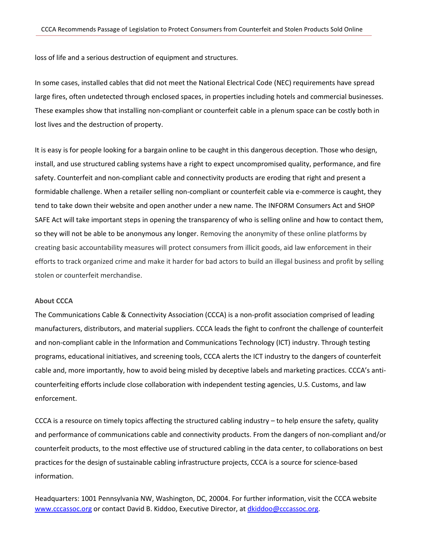loss of life and a serious destruction of equipment and structures.

In some cases, installed cables that did not meet the National Electrical Code (NEC) requirements have spread large fires, often undetected through enclosed spaces, in properties including hotels and commercial businesses. These examples show that installing non-compliant or counterfeit cable in a plenum space can be costly both in lost lives and the destruction of property.

It is easy is for people looking for a bargain online to be caught in this dangerous deception. Those who design, install, and use structured cabling systems have a right to expect uncompromised quality, performance, and fire safety. Counterfeit and non-compliant cable and connectivity products are eroding that right and present a formidable challenge. When a retailer selling non-compliant or counterfeit cable via e-commerce is caught, they tend to take down their website and open another under a new name. The INFORM Consumers Act and SHOP SAFE Act will take important steps in opening the transparency of who is selling online and how to contact them, so they will not be able to be anonymous any longer. Removing the anonymity of these online platforms by creating basic accountability measures will protect consumers from illicit goods, aid law enforcement in their efforts to track organized crime and make it harder for bad actors to build an illegal business and profit by selling stolen or counterfeit merchandise.

#### **About CCCA**

The Communications Cable & Connectivity Association (CCCA) is a non-profit association comprised of leading manufacturers, distributors, and material suppliers. CCCA leads the fight to confront the challenge of counterfeit and non-compliant cable in the Information and Communications Technology (ICT) industry. Through testing programs, educational initiatives, and screening tools, CCCA alerts the ICT industry to the dangers of counterfeit cable and, more importantly, how to avoid being misled by deceptive labels and marketing practices. CCCA's anticounterfeiting efforts include close collaboration with independent testing agencies, U.S. Customs, and law enforcement.

CCCA is a resource on timely topics affecting the structured cabling industry – to help ensure the safety, quality and performance of communications cable and connectivity products. From the dangers of non-compliant and/or counterfeit products, to the most effective use of structured cabling in the data center, to collaborations on best practices for the design of sustainable cabling infrastructure projects, CCCA is a source for science-based information.

Headquarters: 1001 Pennsylvania NW, Washington, DC, 20004. For further information, visit the CCCA website [www.cccassoc.org](http://www.cccassoc.org/) or contact David B. Kiddoo, Executive Director, at [dkiddoo@cccassoc.org.](mailto:dkiddoo@cccassoc.org)